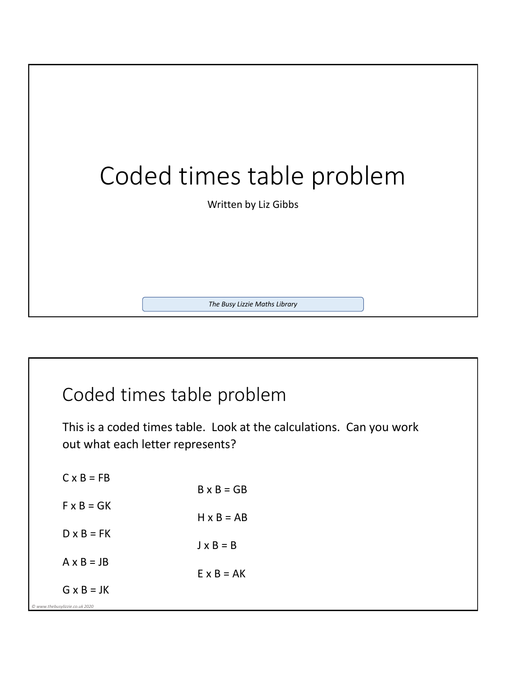

## Coded times table problem

This is a coded times table. Look at the calculations. Can you work out what each letter represents?

| $C \times B = FB$                                   | $B \times B = GB$ |
|-----------------------------------------------------|-------------------|
| $F \times B = GK$                                   | $H \times B = AB$ |
| $D \times B = FK$                                   |                   |
| $A \times B = JB$                                   | $J \times B = B$  |
|                                                     | $E \times B = AK$ |
| $G \times B = JK$<br>@ www.thebusylizzie.co.uk 2020 |                   |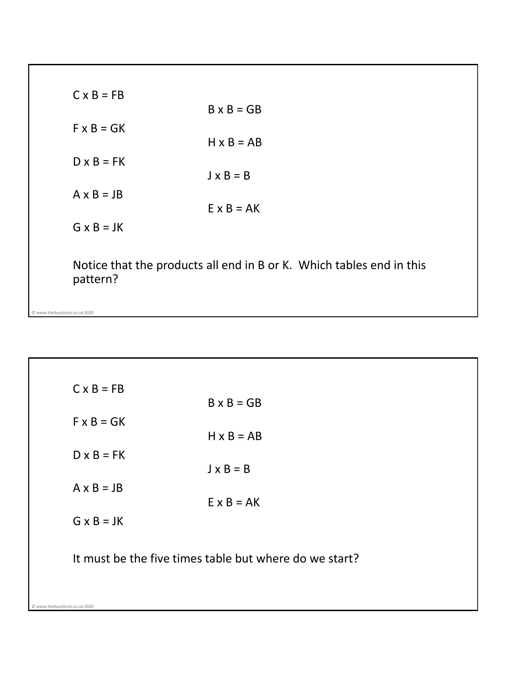| $C \times B = FB$              |                                                                      |
|--------------------------------|----------------------------------------------------------------------|
| $F \times B = GK$              | $B \times B = GB$                                                    |
| $D \times B = FK$              | $H \times B = AB$                                                    |
| $A \times B = JB$              | $J \times B = B$                                                     |
| $G \times B = JK$              | $E \times B = AK$                                                    |
| pattern?                       | Notice that the products all end in B or K. Which tables end in this |
| © www.thebusylizzie.co.uk 2020 |                                                                      |

| $C \times B = FB$              | $B \times B = GB$                                      |
|--------------------------------|--------------------------------------------------------|
| $F \times B = GK$              |                                                        |
|                                | $H \times B = AB$                                      |
| $D \times B = FK$              |                                                        |
| $A \times B = JB$              | $J \times B = B$                                       |
|                                | $E \times B = AK$                                      |
| $G \times B = JK$              |                                                        |
|                                |                                                        |
|                                | It must be the five times table but where do we start? |
|                                |                                                        |
| © www.thebusylizzie.co.uk 2020 |                                                        |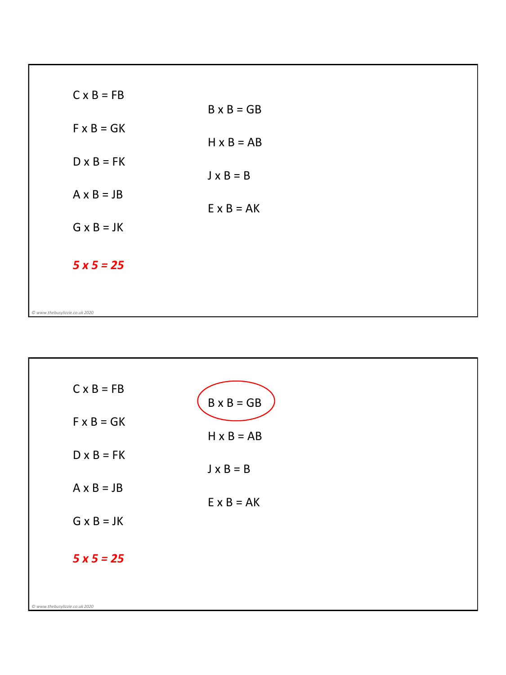| $C \times B = FB$              | $B \times B = GB$ |  |
|--------------------------------|-------------------|--|
| $F \times B = GK$              | $H \times B = AB$ |  |
| $D \times B = FK$              |                   |  |
| $A \times B = JB$              | $J \times B = B$  |  |
|                                | $E \times B = AK$ |  |
| $G \times B = JK$              |                   |  |
| $5x5 = 25$                     |                   |  |
|                                |                   |  |
| © www.thebusylizzie.co.uk 2020 |                   |  |

| $C \times B = FB$              | $B \times B = GB$ |  |
|--------------------------------|-------------------|--|
| $F \times B = GK$              | $H \times B = AB$ |  |
| $D \times B = FK$              | $J \times B = B$  |  |
| $A \times B = JB$              | $E \times B = AK$ |  |
| $G \times B = JK$              |                   |  |
| $5x5 = 25$                     |                   |  |
|                                |                   |  |
| @ www.thebusylizzie.co.uk 2020 |                   |  |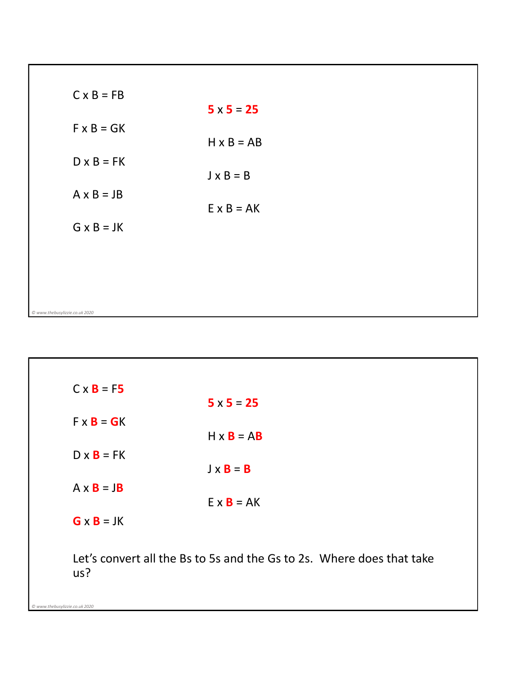| $C \times B = FB$              | $5 \times 5 = 25$ |
|--------------------------------|-------------------|
| $F \times B = GK$              |                   |
| $D \times B = FK$              | $H \times B = AB$ |
|                                | $J \times B = B$  |
| $A \times B = JB$              | $E \times B = AK$ |
| $G \times B = JK$              |                   |
|                                |                   |
|                                |                   |
|                                |                   |
| © www.thebusylizzie.co.uk 2020 |                   |

| $C \times B = F5$                                                            |                   |  |
|------------------------------------------------------------------------------|-------------------|--|
| $F \times B = GK$                                                            | $5 \times 5 = 25$ |  |
|                                                                              | $H \times B = AB$ |  |
| $D \times B = FK$                                                            | $J \times B = B$  |  |
| $A \times B = JB$                                                            |                   |  |
|                                                                              | $E \times B = AK$ |  |
| $G \times B = JK$                                                            |                   |  |
| Let's convert all the Bs to 5s and the Gs to 2s. Where does that take<br>us? |                   |  |

*© www.thebusylizzie.co.uk 2020*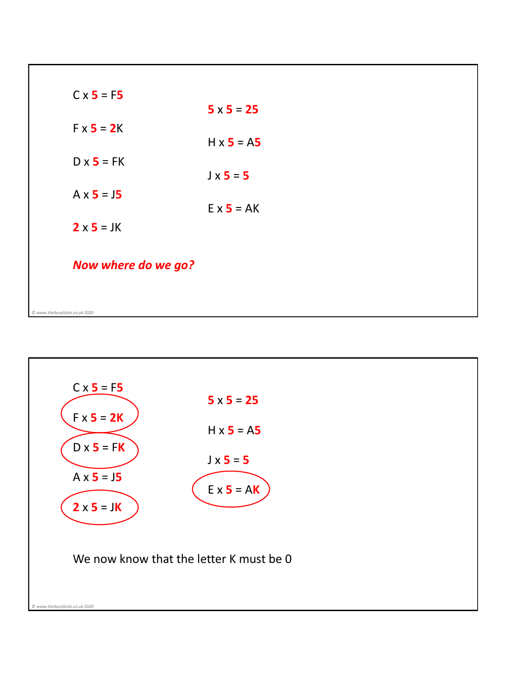| $C \times 5 = F5$              |                   |
|--------------------------------|-------------------|
| $Fx$ 5 = 2K                    | $5 \times 5 = 25$ |
|                                | $H \times 5 = A5$ |
| $D \times 5 = FK$              |                   |
|                                | $J \times 5 = 5$  |
| $A \times 5 = 15$              | $E \times 5 = AK$ |
| $2 \times 5 = JK$              |                   |
| Now where do we go?            |                   |
|                                |                   |
| © www.thebusylizzie.co.uk 2020 |                   |

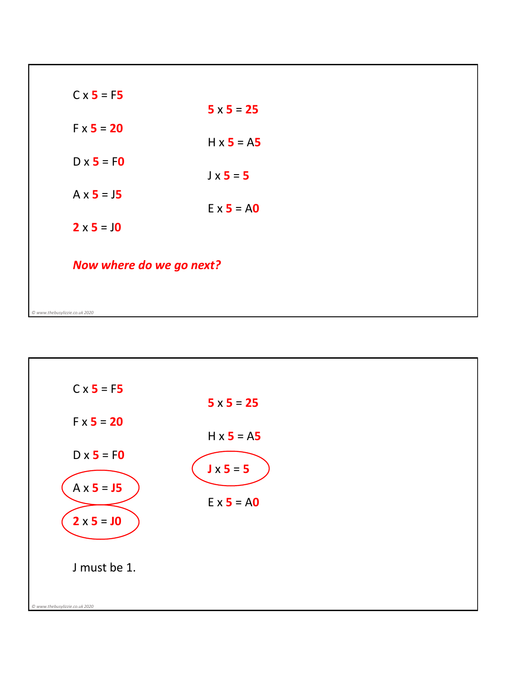| $C \times 5 = F5$              |                   |  |
|--------------------------------|-------------------|--|
|                                | $5 \times 5 = 25$ |  |
| $Fx 5 = 20$                    |                   |  |
|                                | $H \times 5 = A5$ |  |
| $D \times 5 = F0$              | $J \times 5 = 5$  |  |
| $A \times 5 = 15$              |                   |  |
|                                | $E \times 5 = AO$ |  |
| $2 \times 5 = 10$              |                   |  |
|                                |                   |  |
| Now where do we go next?       |                   |  |
|                                |                   |  |
| © www.thebusylizzie.co.uk 2020 |                   |  |

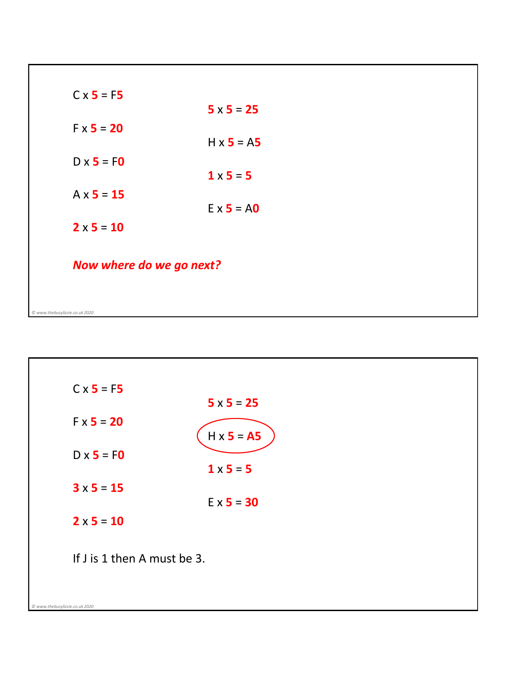| $C \times 5 = F5$              |                   |  |
|--------------------------------|-------------------|--|
|                                | $5 \times 5 = 25$ |  |
| $Fx 5 = 20$                    | $H \times 5 = A5$ |  |
| $D \times 5 = F0$              |                   |  |
|                                | $1 \times 5 = 5$  |  |
| $A \times 5 = 15$              |                   |  |
|                                | $E \times 5 = AO$ |  |
| $2 \times 5 = 10$              |                   |  |
|                                |                   |  |
| Now where do we go next?       |                   |  |
|                                |                   |  |
| © www.thebusylizzie.co.uk 2020 |                   |  |

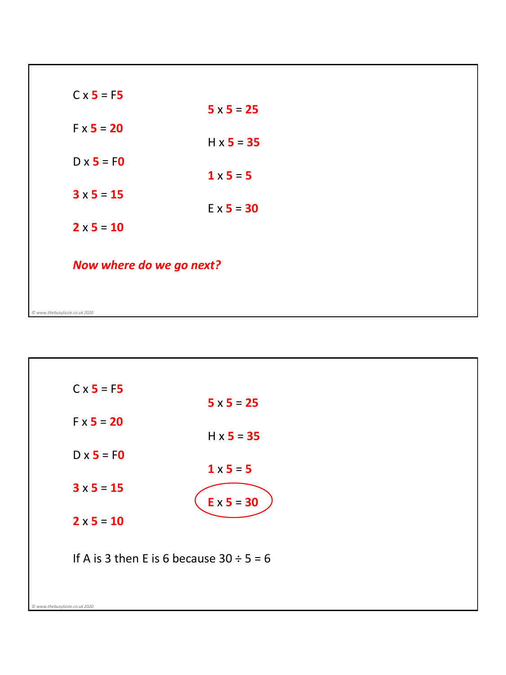| $C \times 5 = F5$              |                   |  |
|--------------------------------|-------------------|--|
|                                | $5 \times 5 = 25$ |  |
| $Fx 5 = 20$                    |                   |  |
|                                | $H \times 5 = 35$ |  |
| $D \times 5 = F0$              | $1 \times 5 = 5$  |  |
| $3 \times 5 = 15$              |                   |  |
|                                | $E \times 5 = 30$ |  |
| $2 \times 5 = 10$              |                   |  |
| Now where do we go next?       |                   |  |
|                                |                   |  |
| © www.thebusylizzie.co.uk 2020 |                   |  |

| $C \times 5 = F5$              |                                               |
|--------------------------------|-----------------------------------------------|
|                                | $5 \times 5 = 25$                             |
| $FX = 20$                      | $H \times 5 = 35$                             |
| $D \times 5 = F0$              | $1 \times 5 = 5$                              |
| $3 \times 5 = 15$              | $E \times 5 = 30$                             |
| $2 \times 5 = 10$              |                                               |
|                                | If A is 3 then E is 6 because $30 \div 5 = 6$ |
| @ www.thebusylizzie.co.uk 2020 |                                               |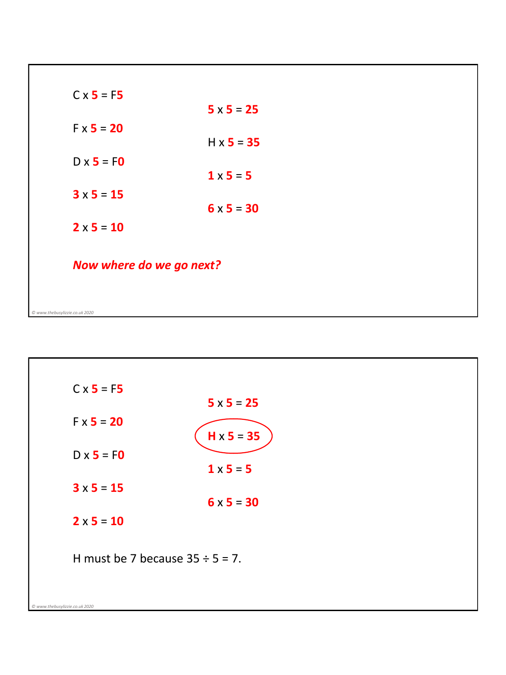| $C \times 5 = F5$              |                   |  |
|--------------------------------|-------------------|--|
|                                | $5 \times 5 = 25$ |  |
| $Fx 5 = 20$                    |                   |  |
|                                | $H \times 5 = 35$ |  |
| $D \times 5 = F0$              | $1 \times 5 = 5$  |  |
| $3 \times 5 = 15$              |                   |  |
|                                | $6 \times 5 = 30$ |  |
| $2 \times 5 = 10$              |                   |  |
| Now where do we go next?       |                   |  |
|                                |                   |  |
| © www.thebusylizzie.co.uk 2020 |                   |  |

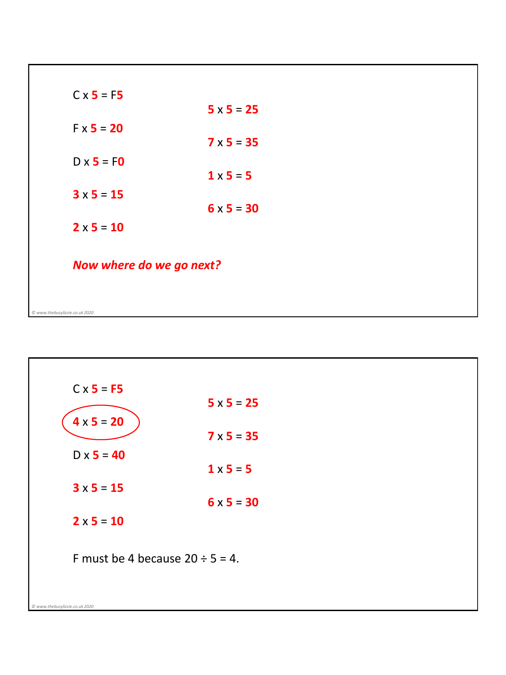| $C \times 5 = F5$              |                   |  |
|--------------------------------|-------------------|--|
|                                | $5 \times 5 = 25$ |  |
| $Fx 5 = 20$                    |                   |  |
|                                | $7 \times 5 = 35$ |  |
| $D \times 5 = F0$              | $1 \times 5 = 5$  |  |
| $3 \times 5 = 15$              |                   |  |
|                                | $6 \times 5 = 30$ |  |
| $2 \times 5 = 10$              |                   |  |
| Now where do we go next?       |                   |  |
|                                |                   |  |
| © www.thebusylizzie.co.uk 2020 |                   |  |

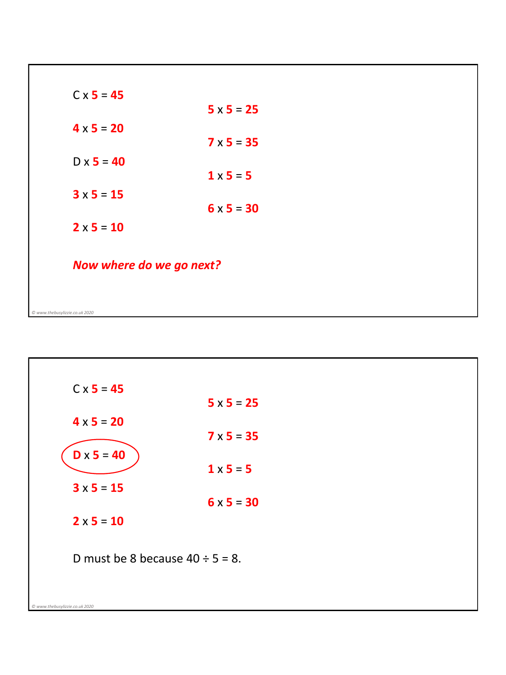| $C \times 5 = 45$              |                   |  |
|--------------------------------|-------------------|--|
|                                | $5 \times 5 = 25$ |  |
| $4 \times 5 = 20$              |                   |  |
|                                | $7 \times 5 = 35$ |  |
| $D \times 5 = 40$              |                   |  |
|                                | $1 \times 5 = 5$  |  |
| $3 \times 5 = 15$              | $6 \times 5 = 30$ |  |
|                                |                   |  |
| $2 \times 5 = 10$              |                   |  |
|                                |                   |  |
| Now where do we go next?       |                   |  |
|                                |                   |  |
| © www.thebusylizzie.co.uk 2020 |                   |  |
|                                |                   |  |